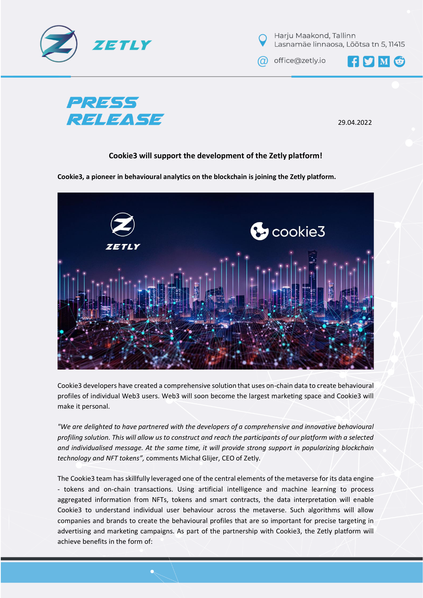



@ office@zetly.io

 $\mathbf{H}$   $\mathbf{S}$   $\mathbf{M}$ 



29.04.2022

## **Cookie3 will support the development of the Zetly platform!**

**Cookie3, a pioneer in behavioural analytics on the blockchain is joining the Zetly platform.** 



Cookie3 developers have created a comprehensive solution that uses on-chain data to create behavioural profiles of individual Web3 users. Web3 will soon become the largest marketing space and Cookie3 will make it personal.

*"We are delighted to have partnered with the developers of a comprehensive and innovative behavioural profiling solution. This will allow us to construct and reach the participants of our platform with a selected and individualised message. At the same time, it will provide strong support in popularizing blockchain technology and NFT tokens",* comments Michał Glijer, CEO of Zetly.

The Cookie3 team has skillfully leveraged one of the central elements of the metaverse for its data engine - tokens and on-chain transactions. Using artificial intelligence and machine learning to process aggregated information from NFTs, tokens and smart contracts, the data interpretation will enable Cookie3 to understand individual user behaviour across the metaverse. Such algorithms will allow companies and brands to create the behavioural profiles that are so important for precise targeting in advertising and marketing campaigns. As part of the partnership with Cookie3, the Zetly platform will achieve benefits in the form of: